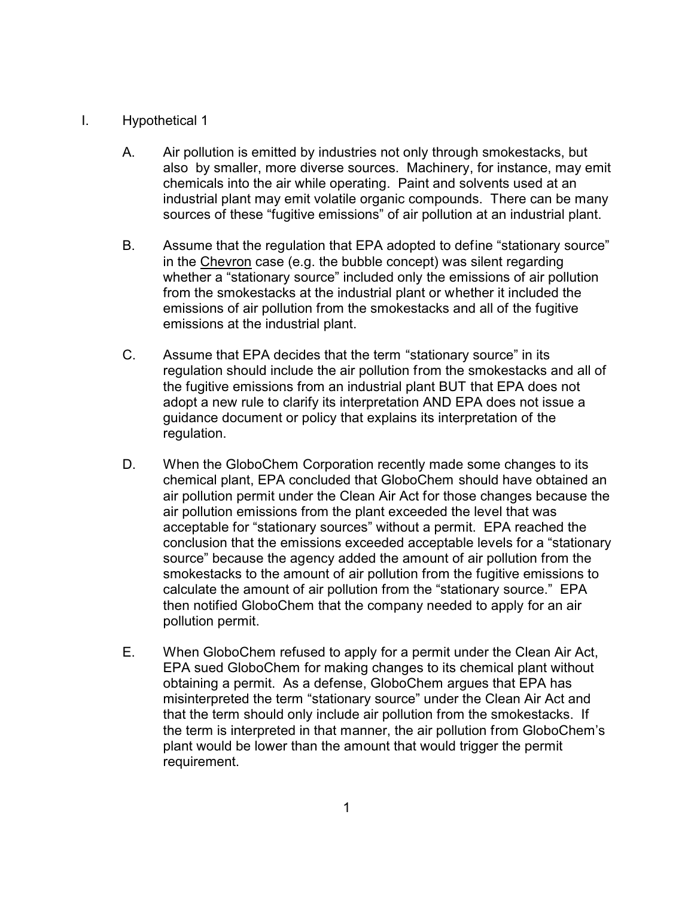## I. Hypothetical 1

- A. Air pollution is emitted by industries not only through smokestacks, but also by smaller, more diverse sources. Machinery, for instance, may emit chemicals into the air while operating. Paint and solvents used at an industrial plant may emit volatile organic compounds. There can be many sources of these "fugitive emissions" of air pollution at an industrial plant.
- B. Assume that the regulation that EPA adopted to define "stationary source" in the Chevron case (e.g. the bubble concept) was silent regarding whether a "stationary source" included only the emissions of air pollution from the smokestacks at the industrial plant or whether it included the emissions of air pollution from the smokestacks and all of the fugitive emissions at the industrial plant.
- C. Assume that EPA decides that the term "stationary source" in its regulation should include the air pollution from the smokestacks and all of the fugitive emissions from an industrial plant BUT that EPA does not adopt a new rule to clarify its interpretation AND EPA does not issue a guidance document or policy that explains its interpretation of the regulation.
- D. When the GloboChem Corporation recently made some changes to its chemical plant, EPA concluded that GloboChem should have obtained an air pollution permit under the Clean Air Act for those changes because the air pollution emissions from the plant exceeded the level that was acceptable for "stationary sources" without a permit. EPA reached the conclusion that the emissions exceeded acceptable levels for a "stationary source" because the agency added the amount of air pollution from the smokestacks to the amount of air pollution from the fugitive emissions to calculate the amount of air pollution from the "stationary source." EPA then notified GloboChem that the company needed to apply for an air pollution permit.
- E. When GloboChem refused to apply for a permit under the Clean Air Act, EPA sued GloboChem for making changes to its chemical plant without obtaining a permit. As a defense, GloboChem argues that EPA has misinterpreted the term "stationary source" under the Clean Air Act and that the term should only include air pollution from the smokestacks. If the term is interpreted in that manner, the air pollution from GloboChem's plant would be lower than the amount that would trigger the permit requirement.